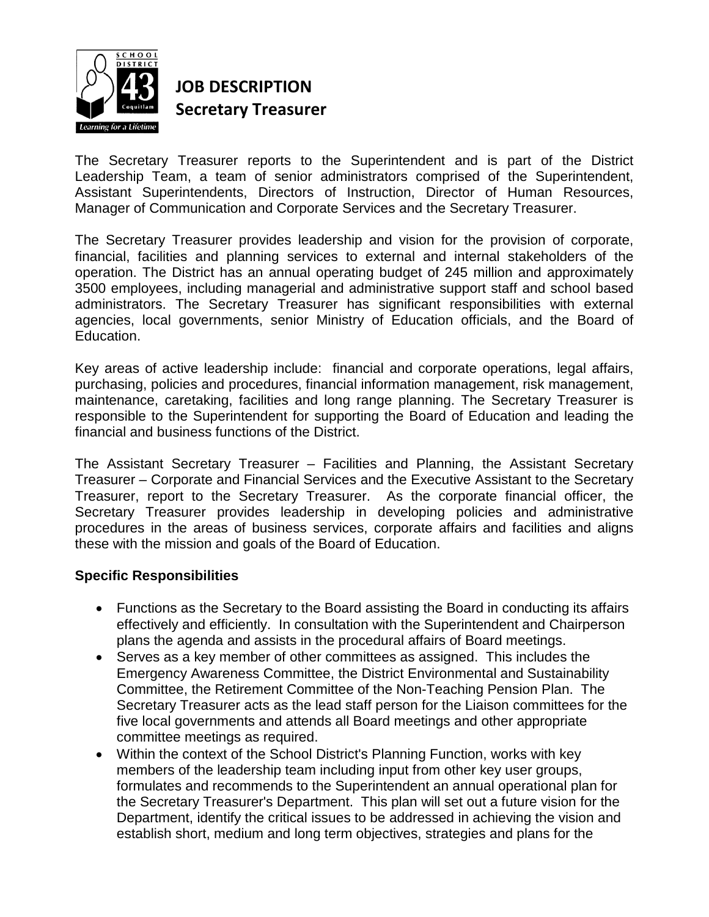

## **JOB DESCRIPTION Secretary Treasurer**

The Secretary Treasurer reports to the Superintendent and is part of the District Leadership Team, a team of senior administrators comprised of the Superintendent, Assistant Superintendents, Directors of Instruction, Director of Human Resources, Manager of Communication and Corporate Services and the Secretary Treasurer.

The Secretary Treasurer provides leadership and vision for the provision of corporate, financial, facilities and planning services to external and internal stakeholders of the operation. The District has an annual operating budget of 245 million and approximately 3500 employees, including managerial and administrative support staff and school based administrators. The Secretary Treasurer has significant responsibilities with external agencies, local governments, senior Ministry of Education officials, and the Board of Education.

Key areas of active leadership include: financial and corporate operations, legal affairs, purchasing, policies and procedures, financial information management, risk management, maintenance, caretaking, facilities and long range planning. The Secretary Treasurer is responsible to the Superintendent for supporting the Board of Education and leading the financial and business functions of the District.

The Assistant Secretary Treasurer – Facilities and Planning, the Assistant Secretary Treasurer – Corporate and Financial Services and the Executive Assistant to the Secretary Treasurer, report to the Secretary Treasurer. As the corporate financial officer, the Secretary Treasurer provides leadership in developing policies and administrative procedures in the areas of business services, corporate affairs and facilities and aligns these with the mission and goals of the Board of Education.

## **Specific Responsibilities**

- Functions as the Secretary to the Board assisting the Board in conducting its affairs effectively and efficiently. In consultation with the Superintendent and Chairperson plans the agenda and assists in the procedural affairs of Board meetings.
- Serves as a key member of other committees as assigned. This includes the Emergency Awareness Committee, the District Environmental and Sustainability Committee, the Retirement Committee of the Non-Teaching Pension Plan. The Secretary Treasurer acts as the lead staff person for the Liaison committees for the five local governments and attends all Board meetings and other appropriate committee meetings as required.
- Within the context of the School District's Planning Function, works with key members of the leadership team including input from other key user groups, formulates and recommends to the Superintendent an annual operational plan for the Secretary Treasurer's Department. This plan will set out a future vision for the Department, identify the critical issues to be addressed in achieving the vision and establish short, medium and long term objectives, strategies and plans for the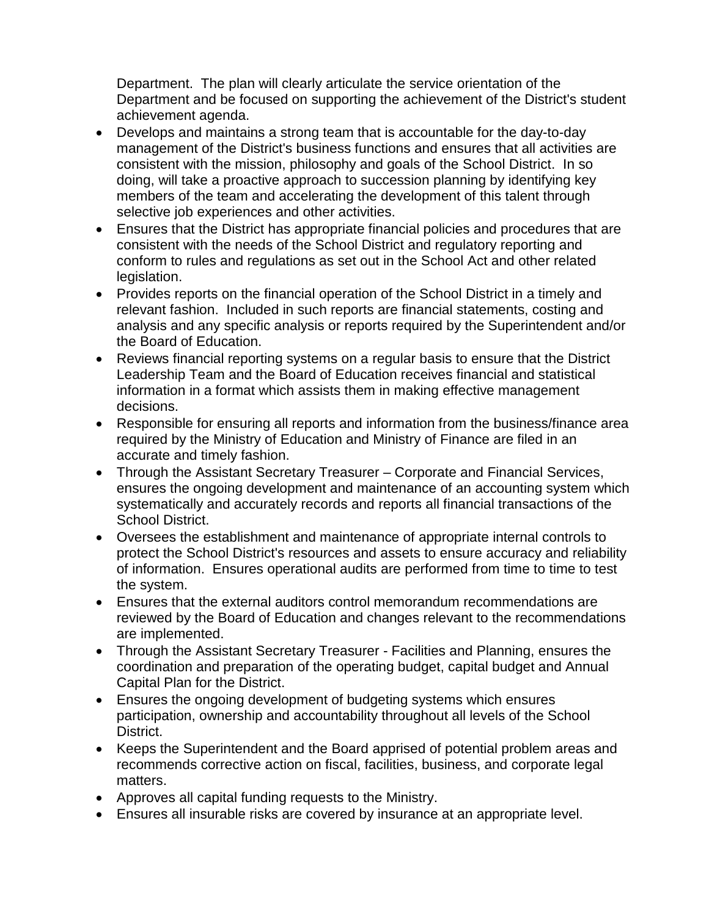Department. The plan will clearly articulate the service orientation of the Department and be focused on supporting the achievement of the District's student achievement agenda.

- Develops and maintains a strong team that is accountable for the day-to-day management of the District's business functions and ensures that all activities are consistent with the mission, philosophy and goals of the School District. In so doing, will take a proactive approach to succession planning by identifying key members of the team and accelerating the development of this talent through selective job experiences and other activities.
- Ensures that the District has appropriate financial policies and procedures that are consistent with the needs of the School District and regulatory reporting and conform to rules and regulations as set out in the School Act and other related legislation.
- Provides reports on the financial operation of the School District in a timely and relevant fashion. Included in such reports are financial statements, costing and analysis and any specific analysis or reports required by the Superintendent and/or the Board of Education.
- Reviews financial reporting systems on a regular basis to ensure that the District Leadership Team and the Board of Education receives financial and statistical information in a format which assists them in making effective management decisions.
- Responsible for ensuring all reports and information from the business/finance area required by the Ministry of Education and Ministry of Finance are filed in an accurate and timely fashion.
- Through the Assistant Secretary Treasurer Corporate and Financial Services, ensures the ongoing development and maintenance of an accounting system which systematically and accurately records and reports all financial transactions of the School District.
- Oversees the establishment and maintenance of appropriate internal controls to protect the School District's resources and assets to ensure accuracy and reliability of information. Ensures operational audits are performed from time to time to test the system.
- Ensures that the external auditors control memorandum recommendations are reviewed by the Board of Education and changes relevant to the recommendations are implemented.
- Through the Assistant Secretary Treasurer Facilities and Planning, ensures the coordination and preparation of the operating budget, capital budget and Annual Capital Plan for the District.
- Ensures the ongoing development of budgeting systems which ensures participation, ownership and accountability throughout all levels of the School District.
- Keeps the Superintendent and the Board apprised of potential problem areas and recommends corrective action on fiscal, facilities, business, and corporate legal matters.
- Approves all capital funding requests to the Ministry.
- Ensures all insurable risks are covered by insurance at an appropriate level.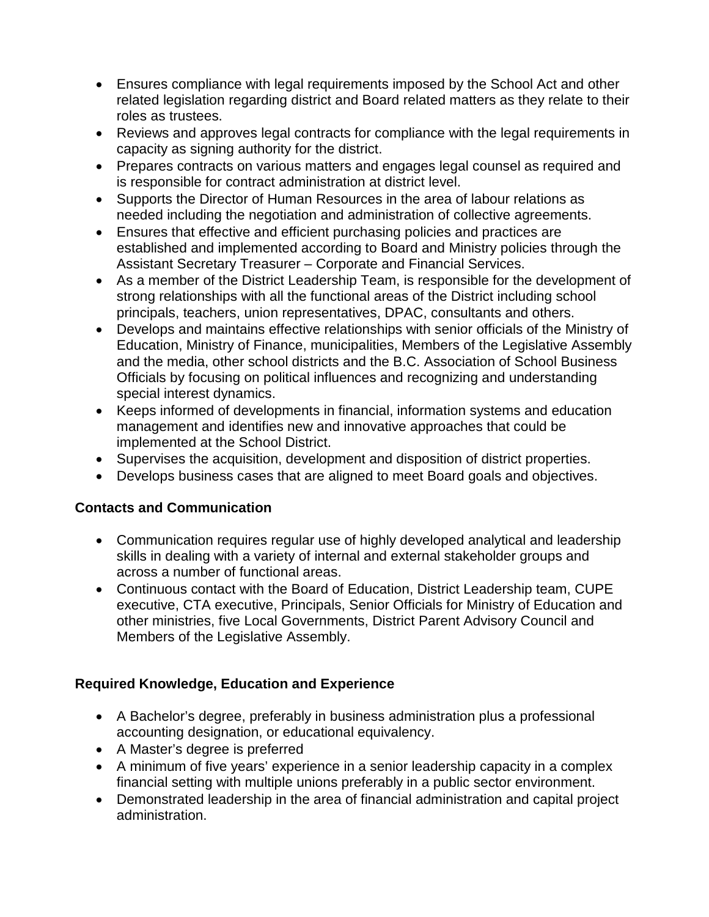- Ensures compliance with legal requirements imposed by the School Act and other related legislation regarding district and Board related matters as they relate to their roles as trustees.
- Reviews and approves legal contracts for compliance with the legal requirements in capacity as signing authority for the district.
- Prepares contracts on various matters and engages legal counsel as required and is responsible for contract administration at district level.
- Supports the Director of Human Resources in the area of labour relations as needed including the negotiation and administration of collective agreements.
- Ensures that effective and efficient purchasing policies and practices are established and implemented according to Board and Ministry policies through the Assistant Secretary Treasurer – Corporate and Financial Services.
- As a member of the District Leadership Team, is responsible for the development of strong relationships with all the functional areas of the District including school principals, teachers, union representatives, DPAC, consultants and others.
- Develops and maintains effective relationships with senior officials of the Ministry of Education, Ministry of Finance, municipalities, Members of the Legislative Assembly and the media, other school districts and the B.C. Association of School Business Officials by focusing on political influences and recognizing and understanding special interest dynamics.
- Keeps informed of developments in financial, information systems and education management and identifies new and innovative approaches that could be implemented at the School District.
- Supervises the acquisition, development and disposition of district properties.
- Develops business cases that are aligned to meet Board goals and objectives.

## **Contacts and Communication**

- Communication requires regular use of highly developed analytical and leadership skills in dealing with a variety of internal and external stakeholder groups and across a number of functional areas.
- Continuous contact with the Board of Education, District Leadership team, CUPE executive, CTA executive, Principals, Senior Officials for Ministry of Education and other ministries, five Local Governments, District Parent Advisory Council and Members of the Legislative Assembly.

## **Required Knowledge, Education and Experience**

- A Bachelor's degree, preferably in business administration plus a professional accounting designation, or educational equivalency.
- A Master's degree is preferred
- A minimum of five years' experience in a senior leadership capacity in a complex financial setting with multiple unions preferably in a public sector environment.
- Demonstrated leadership in the area of financial administration and capital project administration.